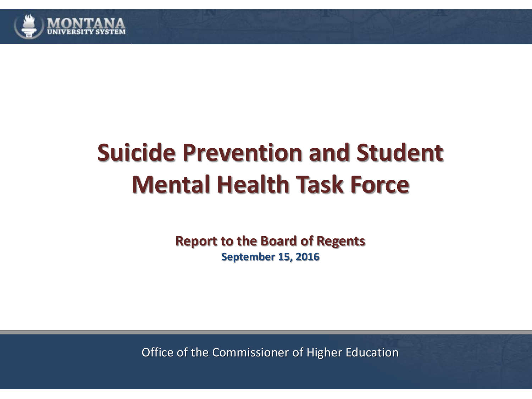

#### **Suicide Prevention and Student Mental Health Task Force**

**Report to the Board of Regents September 15, 2016**

Office of the Commissioner of Higher Education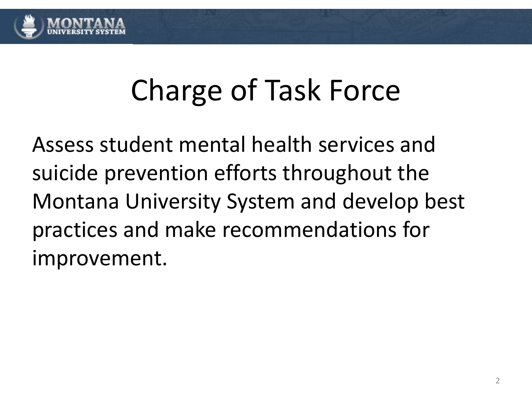

## Charge of Task Force

Assess student mental health services and suicide prevention efforts throughout the Montana University System and develop best practices and make recommendations for improvement.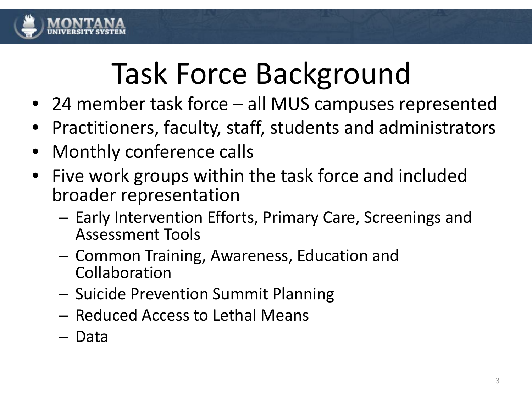

# Task Force Background

- 24 member task force all MUS campuses represented
- Practitioners, faculty, staff, students and administrators
- Monthly conference calls
- Five work groups within the task force and included broader representation
	- Early Intervention Efforts, Primary Care, Screenings and Assessment Tools
	- Common Training, Awareness, Education and Collaboration
	- Suicide Prevention Summit Planning
	- Reduced Access to Lethal Means
	- Data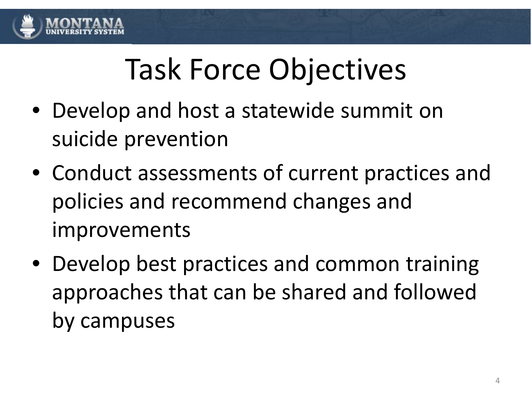

# Task Force Objectives

- Develop and host a statewide summit on suicide prevention
- Conduct assessments of current practices and policies and recommend changes and improvements
- Develop best practices and common training approaches that can be shared and followed by campuses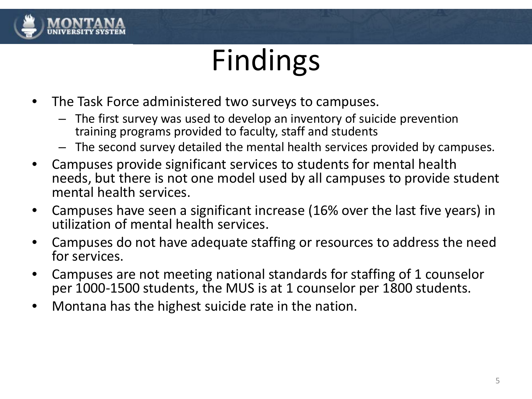

## Findings

- The Task Force administered two surveys to campuses.
	- The first survey was used to develop an inventory of suicide prevention training programs provided to faculty, staff and students
	- The second survey detailed the mental health services provided by campuses.
- Campuses provide significant services to students for mental health needs, but there is not one model used by all campuses to provide student mental health services.
- Campuses have seen a significant increase (16% over the last five years) in utilization of mental health services.
- Campuses do not have adequate staffing or resources to address the need for services.
- Campuses are not meeting national standards for staffing of 1 counselor per 1000-1500 students, the MUS is at 1 counselor per 1800 students.
- Montana has the highest suicide rate in the nation.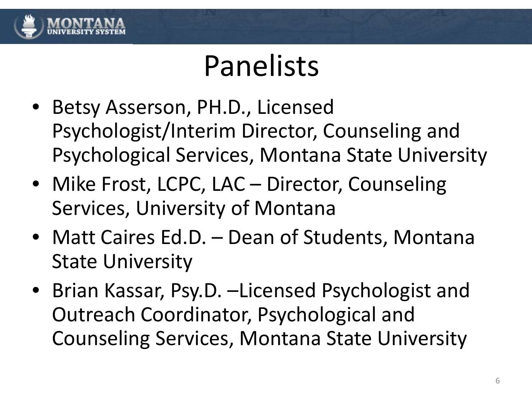

## Panelists

- Betsy Asserson, PH.D., Licensed Psychologist/Interim Director, Counseling and Psychological Services, Montana State University
- Mike Frost, LCPC, LAC Director, Counseling Services, University of Montana
- Matt Caires Ed.D. Dean of Students, Montana State University
- Brian Kassar, Psy.D. –Licensed Psychologist and Outreach Coordinator, Psychological and Counseling Services, Montana State University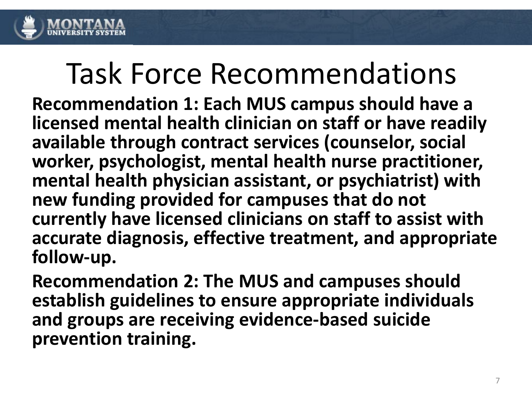

**Recommendation 1: Each MUS campus should have a licensed mental health clinician on staff or have readily available through contract services (counselor, social worker, psychologist, mental health nurse practitioner, mental health physician assistant, or psychiatrist) with new funding provided for campuses that do not currently have licensed clinicians on staff to assist with accurate diagnosis, effective treatment, and appropriate follow-up.** 

**Recommendation 2: The MUS and campuses should establish guidelines to ensure appropriate individuals and groups are receiving evidence-based suicide prevention training.**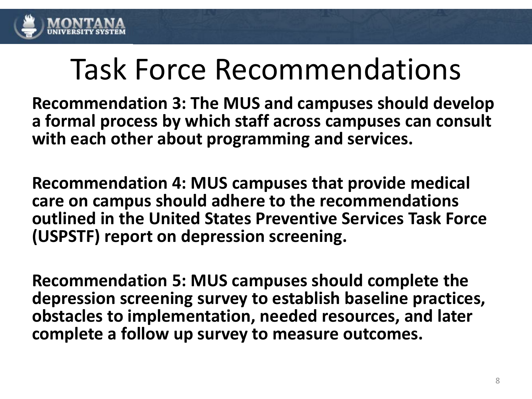

**Recommendation 3: The MUS and campuses should develop a formal process by which staff across campuses can consult with each other about programming and services.**

**Recommendation 4: MUS campuses that provide medical care on campus should adhere to the recommendations outlined in the United States Preventive Services Task Force (USPSTF) report on depression screening.**

**Recommendation 5: MUS campuses should complete the depression screening survey to establish baseline practices, obstacles to implementation, needed resources, and later complete a follow up survey to measure outcomes.**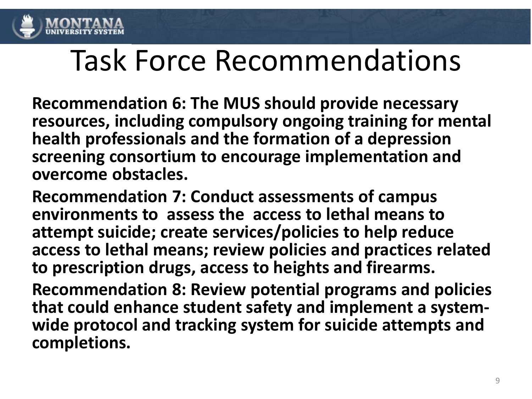

**Recommendation 6: The MUS should provide necessary resources, including compulsory ongoing training for mental health professionals and the formation of a depression screening consortium to encourage implementation and overcome obstacles.** 

**Recommendation 7: Conduct assessments of campus environments to assess the access to lethal means to attempt suicide; create services/policies to help reduce access to lethal means; review policies and practices related to prescription drugs, access to heights and firearms.**

**Recommendation 8: Review potential programs and policies that could enhance student safety and implement a system- wide protocol and tracking system for suicide attempts and completions.**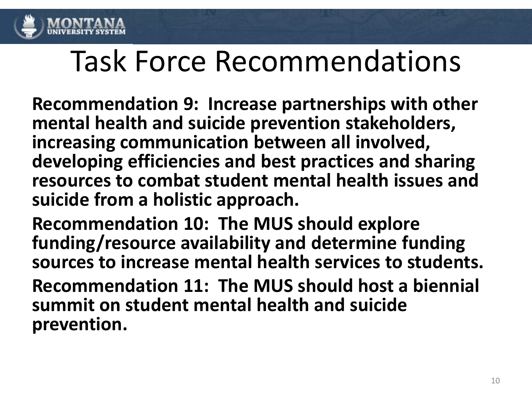

**Recommendation 9: Increase partnerships with other mental health and suicide prevention stakeholders, increasing communication between all involved, developing efficiencies and best practices and sharing resources to combat student mental health issues and suicide from a holistic approach.**

**Recommendation 10: The MUS should explore funding/resource availability and determine funding sources to increase mental health services to students.**

**Recommendation 11: The MUS should host a biennial summit on student mental health and suicide prevention.**